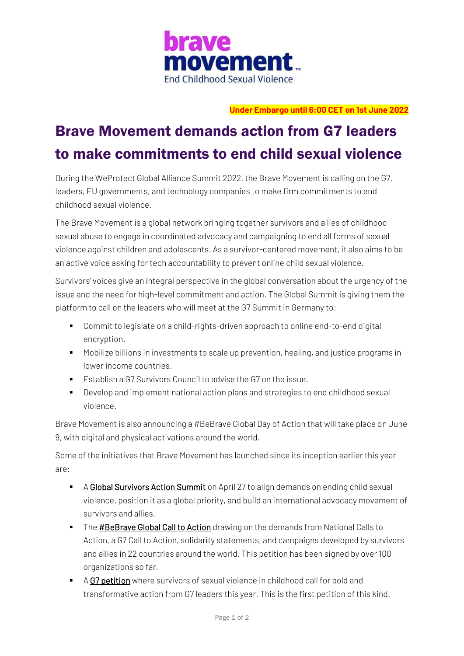

### **Under Embargo until 6:00 CET on 1st June 2022**

# Brave Movement demands action from G7 leaders to make commitments to end child sexual violence

During the WeProtect Global Alliance Summit 2022, the Brave Movement is calling on the G7, leaders, EU governments, and technology companies to make firm commitments to end childhood sexual violence.

The Brave Movement is a global network bringing togethe[r survivors](https://www.bravemovement.org/sage) and allies of childhood sexual abuse to engage in coordinated advocacy and campaigning to end all forms of sexual violence against children and adolescents. As a survivor-centered movement, it also aims to be an active voice asking for tech accountability to prevent online child sexual violence.

Survivors' voices give an integral perspective in the global conversation about the urgency of the issue and the need for high-level commitment and action. The Global Summit is giving them the platform to call on the leaders who will meet at the G7 Summit in Germany to:

- Commit to legislate on a child-rights-driven approach to online end-to-end digital encryption.
- Mobilize billions in investments to scale up prevention, healing, and justice programs in lower income countries.
- Establish a G7 Survivors Council to advise the G7 on the issue.
- Develop and implement national action plans and strategies to end childhood sexual violence.

Brave Movement is also announcing a #BeBrave Global Day of Action that will take place on June 9, with digital and physical activations around the world.

Some of the initiatives that Brave Movement has launched since its inception earlier this year are:

- [A Global Survivors Action Summit](https://www.end-violence.org/events/brave-movement-global-survivors-action-summit) on April 27 to align demands on ending child sexual violence, position it as a global priority, and build an international advocacy movement of survivors and allies.
- **The [#BeBrave Global](https://www.bravemovement.org/bebrave-global-call-to-action) Call to Action** drawing on the demands from National Calls to Action, a G7 Call to Action, solidarity statements, and campaigns developed by survivors and allies in 22 countries around the world. This petition has been signed by over 100 organizations so far.
- [A G7 petition](https://www.change.org/p/bebrave-g7-petition-to-end-sexual-violence-against-children) where survivors of sexual violence in childhood call for bold and transformative action from G7 leaders this year. This is the first petition of this kind.